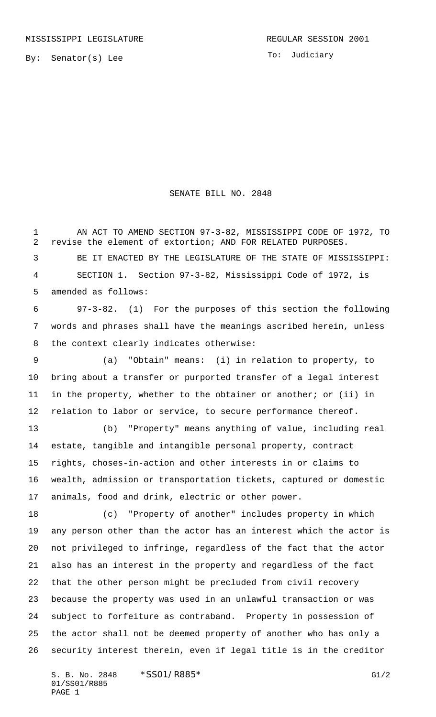By: Senator(s) Lee

## SENATE BILL NO. 2848

 AN ACT TO AMEND SECTION 97-3-82, MISSISSIPPI CODE OF 1972, TO revise the element of extortion; AND FOR RELATED PURPOSES.

 BE IT ENACTED BY THE LEGISLATURE OF THE STATE OF MISSISSIPPI: SECTION 1. Section 97-3-82, Mississippi Code of 1972, is amended as follows:

 97-3-82. (1) For the purposes of this section the following words and phrases shall have the meanings ascribed herein, unless the context clearly indicates otherwise:

 (a) "Obtain" means: (i) in relation to property, to bring about a transfer or purported transfer of a legal interest in the property, whether to the obtainer or another; or (ii) in relation to labor or service, to secure performance thereof.

 (b) "Property" means anything of value, including real estate, tangible and intangible personal property, contract rights, choses-in-action and other interests in or claims to wealth, admission or transportation tickets, captured or domestic animals, food and drink, electric or other power.

 (c) "Property of another" includes property in which any person other than the actor has an interest which the actor is not privileged to infringe, regardless of the fact that the actor also has an interest in the property and regardless of the fact that the other person might be precluded from civil recovery because the property was used in an unlawful transaction or was subject to forfeiture as contraband. Property in possession of the actor shall not be deemed property of another who has only a security interest therein, even if legal title is in the creditor

S. B. No. 2848 \* SSO1/R885\* G1/2 01/SS01/R885 PAGE 1